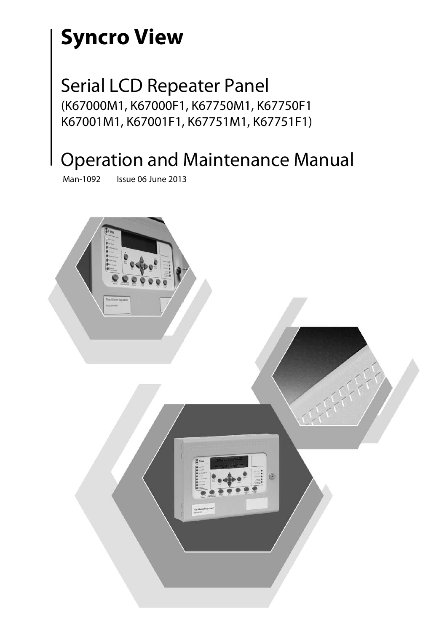# **Syncro View**

### Serial LCD Repeater Panel (K67000M1, K67000F1, K67750M1, K67750F1 K67001M1, K67001F1, K67751M1, K67751F1)

## Operation and Maintenance Manual

Man-1092 Issue 06 June 2013

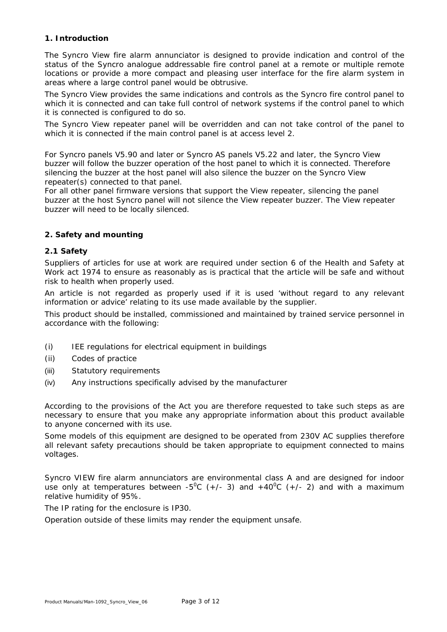#### **1. Introduction**

The Syncro View fire alarm annunciator is designed to provide indication and control of the status of the Syncro analogue addressable fire control panel at a remote or multiple remote locations or provide a more compact and pleasing user interface for the fire alarm system in areas where a large control panel would be obtrusive.

The Syncro View provides the same indications and controls as the Syncro fire control panel to which it is connected and can take full control of network systems if the control panel to which it is connected is configured to do so.

The Syncro View repeater panel will be overridden and can not take control of the panel to which it is connected if the main control panel is at access level 2.

For Syncro panels V5.90 and later or Syncro AS panels V5.22 and later, the Syncro View buzzer will follow the buzzer operation of the host panel to which it is connected. Therefore silencing the buzzer at the host panel will also silence the buzzer on the Syncro View repeater(s) connected to that panel.

For all other panel firmware versions that support the View repeater, silencing the panel buzzer at the host Syncro panel will not silence the View repeater buzzer. The View repeater buzzer will need to be locally silenced.

#### **2. Safety and mounting**

#### **2.1 Safety**

Suppliers of articles for use at work are required under section 6 of the Health and Safety at Work act 1974 to ensure as reasonably as is practical that the article will be safe and without risk to health when properly used.

An article is not regarded as properly used if it is used 'without regard to any relevant information or advice' relating to its use made available by the supplier.

This product should be installed, commissioned and maintained by trained service personnel in accordance with the following:

- (i) IEE regulations for electrical equipment in buildings
- (ii) Codes of practice
- (iii) Statutory requirements
- (iv) Any instructions specifically advised by the manufacturer

According to the provisions of the Act you are therefore requested to take such steps as are necessary to ensure that you make any appropriate information about this product available to anyone concerned with its use.

Some models of this equipment are designed to be operated from 230V AC supplies therefore all relevant safety precautions should be taken appropriate to equipment connected to mains voltages.

Syncro VIEW fire alarm annunciators are environmental class A and are designed for indoor use only at temperatures between -5<sup>o</sup>C (+/- 3) and +40<sup>o</sup>C (+/- 2) and with a maximum relative humidity of 95%.

The IP rating for the enclosure is IP30.

Operation outside of these limits may render the equipment unsafe.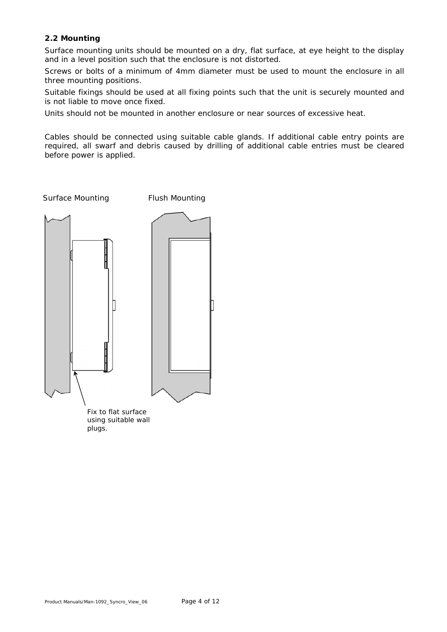#### **2.2 Mounting**

Surface mounting units should be mounted on a dry, flat surface, at eye height to the display and in a level position such that the enclosure is not distorted.

Screws or bolts of a minimum of 4mm diameter must be used to mount the enclosure in all three mounting positions.

Suitable fixings should be used at all fixing points such that the unit is securely mounted and is not liable to move once fixed.

Units should not be mounted in another enclosure or near sources of excessive heat.

Cables should be connected using suitable cable glands. If additional cable entry points are required, all swarf and debris caused by drilling of additional cable entries must be cleared before power is applied.

Surface Mounting Flush Mounting



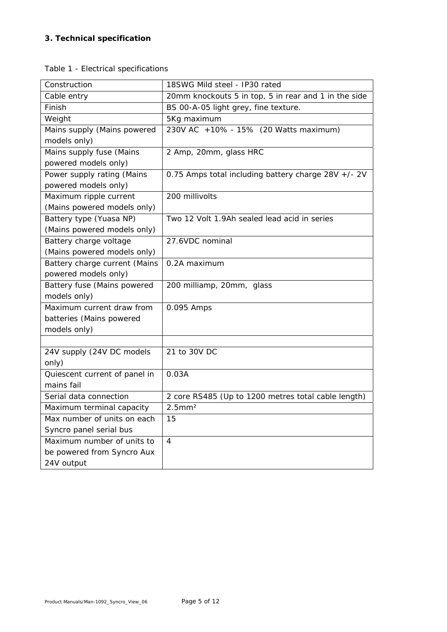#### **3. Technical specification**

|  |  | Table 1 - Electrical specifications |
|--|--|-------------------------------------|
|--|--|-------------------------------------|

| Construction                  | 18SWG Mild steel - IP30 rated                        |
|-------------------------------|------------------------------------------------------|
| Cable entry                   | 20mm knockouts 5 in top, 5 in rear and 1 in the side |
| Finish                        | BS 00-A-05 light grey, fine texture.                 |
| Weight                        | 5Kg maximum                                          |
| Mains supply (Mains powered   | 230V AC +10% - 15% (20 Watts maximum)                |
| models only)                  |                                                      |
| Mains supply fuse (Mains      | 2 Amp, 20mm, glass HRC                               |
| powered models only)          |                                                      |
| Power supply rating (Mains    | 0.75 Amps total including battery charge 28V +/- 2V  |
| powered models only)          |                                                      |
| Maximum ripple current        | 200 millivolts                                       |
| (Mains powered models only)   |                                                      |
| Battery type (Yuasa NP)       | Two 12 Volt 1.9Ah sealed lead acid in series         |
| (Mains powered models only)   |                                                      |
| Battery charge voltage        | 27.6VDC nominal                                      |
| (Mains powered models only)   |                                                      |
| Battery charge current (Mains | 0.2A maximum                                         |
| powered models only)          |                                                      |
| Battery fuse (Mains powered   | 200 milliamp, 20mm, glass                            |
| models only)                  |                                                      |
| Maximum current draw from     | 0.095 Amps                                           |
| batteries (Mains powered      |                                                      |
| models only)                  |                                                      |
|                               |                                                      |
| 24V supply (24V DC models     | 21 to 30V DC                                         |
| only)                         |                                                      |
| Quiescent current of panel in | 0.03A                                                |
| mains fail                    |                                                      |
| Serial data connection        | 2 core RS485 (Up to 1200 metres total cable length)  |
| Maximum terminal capacity     | $2.5$ mm $2$                                         |
| Max number of units on each   | 15                                                   |
| Syncro panel serial bus       |                                                      |
| Maximum number of units to    | 4                                                    |
| be powered from Syncro Aux    |                                                      |
| 24V output                    |                                                      |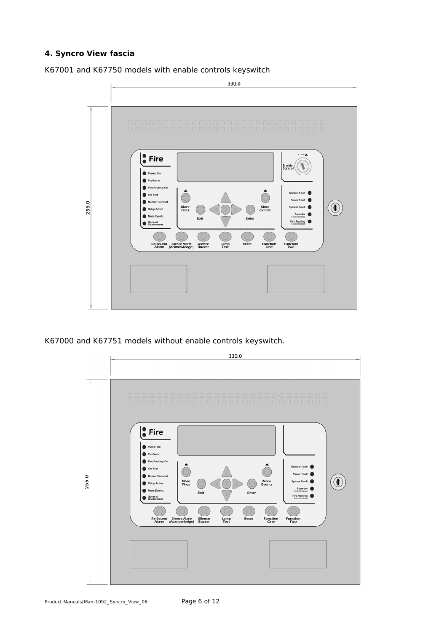#### **4. Syncro View fascia**

K67001 and K67750 models with enable controls keyswitch



K67000 and K67751 models without enable controls keyswitch.

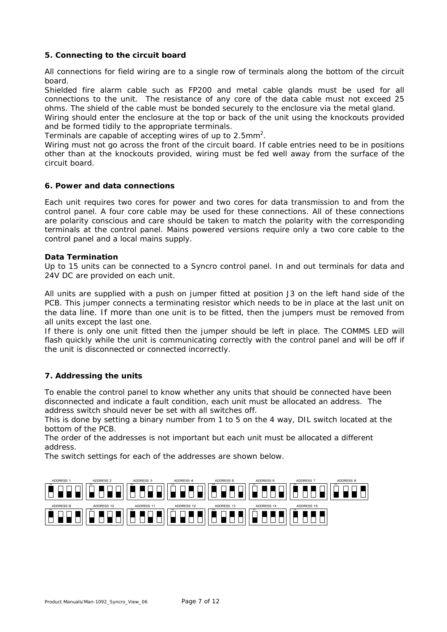#### **5. Connecting to the circuit board**

All connections for field wiring are to a single row of terminals along the bottom of the circuit board.

Shielded fire alarm cable such as FP200 and metal cable glands must be used for all connections to the unit. The resistance of any core of the data cable must not exceed 25 ohms. The shield of the cable must be bonded securely to the enclosure via the metal gland.

Wiring should enter the enclosure at the top or back of the unit using the knockouts provided and be formed tidily to the appropriate terminals.

Terminals are capable of accepting wires of up to  $2.5$ mm<sup>2</sup>.

Wiring must not go across the front of the circuit board. If cable entries need to be in positions other than at the knockouts provided, wiring must be fed well away from the surface of the circuit board.

#### **6. Power and data connections**

Each unit requires two cores for power and two cores for data transmission to and from the control panel. A four core cable may be used for these connections. All of these connections are polarity conscious and care should be taken to match the polarity with the corresponding terminals at the control panel. Mains powered versions require only a two core cable to the control panel and a local mains supply.

#### **Data Termination**

Up to 15 units can be connected to a Syncro control panel. In and out terminals for data and 24V DC are provided on each unit.

All units are supplied with a push on jumper fitted at position J3 on the left hand side of the PCB. This jumper connects a terminating resistor which needs to be in place at the last unit on the data line. If more than one unit is to be fitted, then the jumpers must be removed from all units except the last one.

If there is only one unit fitted then the jumper should be left in place. The COMMS LED will flash quickly while the unit is communicating correctly with the control panel and will be off if the unit is disconnected or connected incorrectly.

#### **7. Addressing the units**

To enable the control panel to know whether any units that should be connected have been disconnected and indicate a fault condition, each unit must be allocated an address. The address switch should never be set with all switches off.

This is done by setting a binary number from 1 to 5 on the 4 way, DIL switch located at the bottom of the PCB.

The order of the addresses is not important but each unit must be allocated a different address.

The switch settings for each of the addresses are shown below.

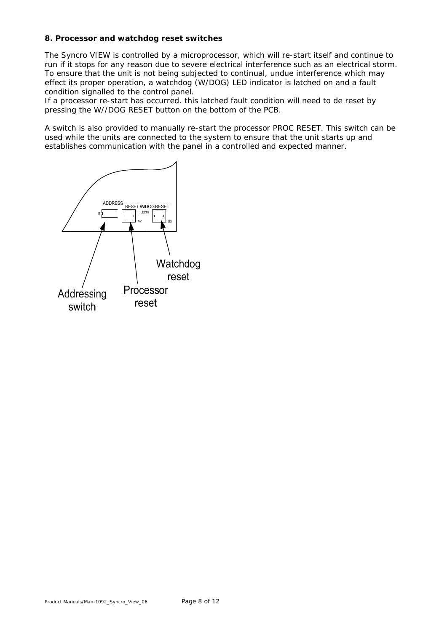#### **8. Processor and watchdog reset switches**

The Syncro VIEW is controlled by a microprocessor, which will re-start itself and continue to run if it stops for any reason due to severe electrical interference such as an electrical storm. To ensure that the unit is not being subjected to continual, undue interference which may effect its proper operation, a watchdog (W/DOG) LED indicator is latched on and a fault condition signalled to the control panel.

If a processor re-start has occurred. this latched fault condition will need to de reset by pressing the W//DOG RESET button on the bottom of the PCB.

A switch is also provided to manually re-start the processor PROC RESET. This switch can be used while the units are connected to the system to ensure that the unit starts up and establishes communication with the panel in a controlled and expected manner.

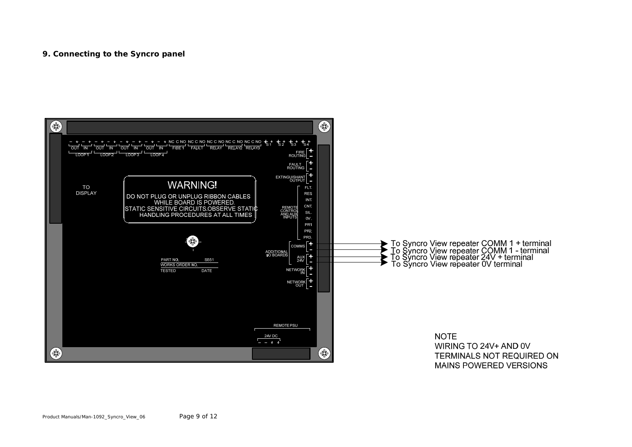#### **9. Connecting to the Syncro panel**

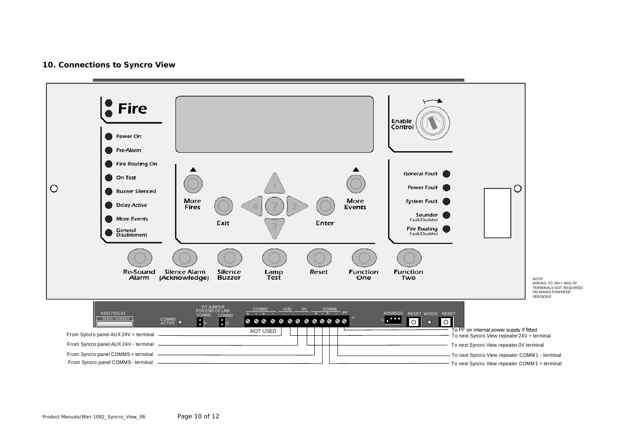#### **10. Connections to Syncro View**

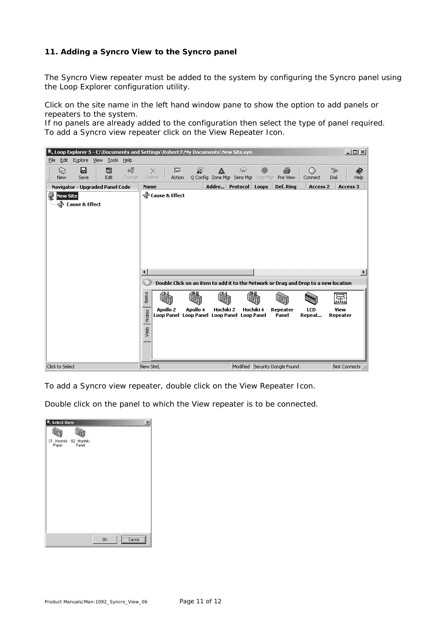#### **11. Adding a Syncro View to the Syncro panel**

The Syncro View repeater must be added to the system by configuring the Syncro panel using the Loop Explorer configuration utility.

Click on the site name in the left hand window pane to show the option to add panels or repeaters to the system.

If no panels are already added to the configuration then select the type of panel required. To add a Syncro view repeater click on the View Repeater Icon.



To add a Syncro view repeater, double click on the View Repeater Icon.

Double click on the panel to which the View repeater is to be connected.

| Select Item |                                    |    |        | $\times$ |
|-------------|------------------------------------|----|--------|----------|
|             |                                    |    |        |          |
| Panel       | 01 - Hochiki 02 - Hochiki<br>Panel |    |        |          |
|             |                                    |    |        |          |
|             |                                    |    |        |          |
|             |                                    |    |        |          |
|             |                                    |    |        |          |
|             |                                    |    |        |          |
|             |                                    |    |        |          |
|             |                                    |    |        |          |
|             |                                    |    |        |          |
|             |                                    | 0K | Cancel |          |